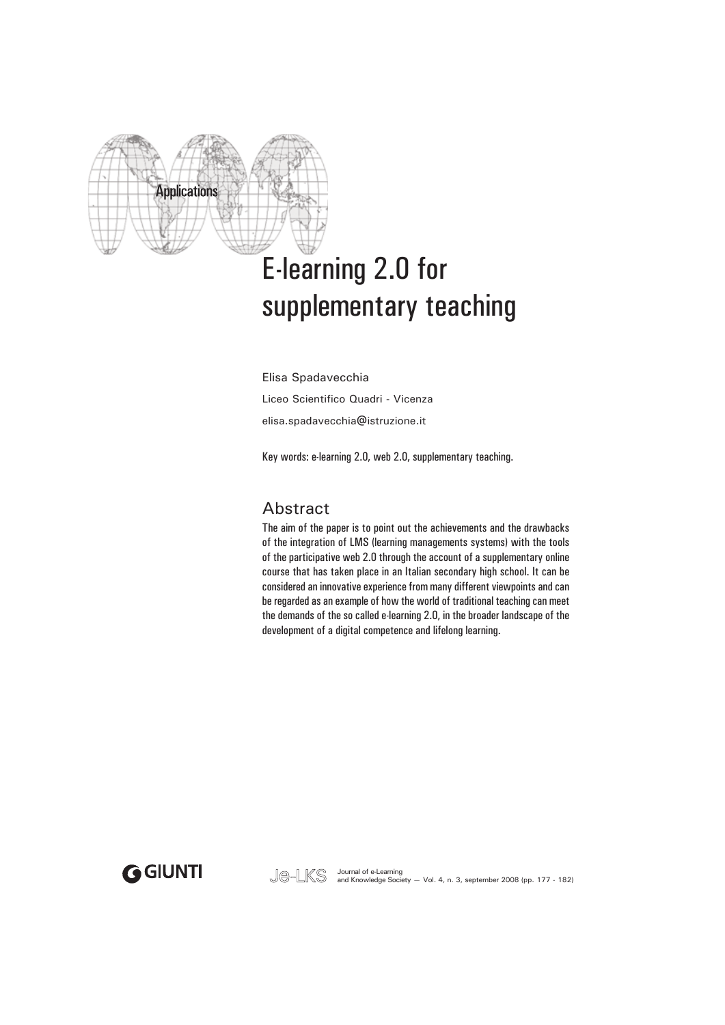

# E-learning 2.0 for supplementary teaching

Elisa Spadavecchia Liceo Scientifico Quadri - Vicenza elisa.spadavecchia@istruzione.it

Key words: e-learning 2.0, web 2.0, supplementary teaching.

### Abstract

The aim of the paper is to point out the achievements and the drawbacks of the integration of LMS (learning managements systems) with the tools of the participative web 2.0 through the account of a supplementary online course that has taken place in an Italian secondary high school. It can be considered an innovative experience from many different viewpoints and can be regarded as an example of how the world of traditional teaching can meet the demands of the so called e-learning 2.0, in the broader landscape of the development of a digital competence and lifelong learning.

GGIUNTI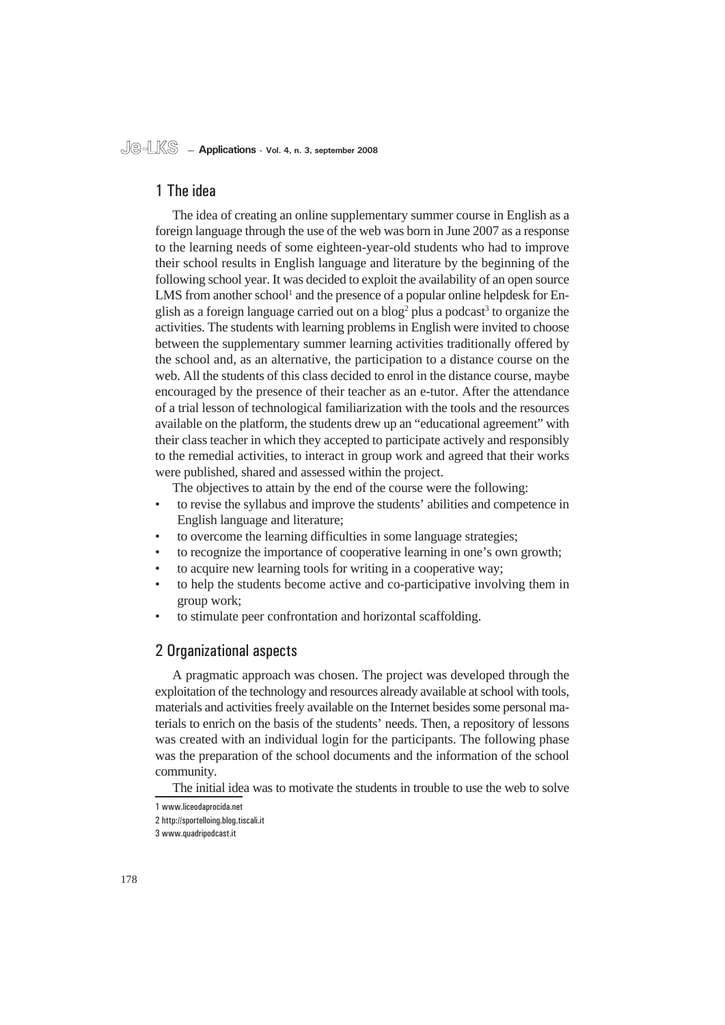### 1 The idea

The idea of creating an online supplementary summer course in English as a foreign language through the use of the web was born in June 2007 as a response to the learning needs of some eighteen-year-old students who had to improve their school results in English language and literature by the beginning of the following school year. It was decided to exploit the availability of an open source LMS from another school<sup>1</sup> and the presence of a popular online helpdesk for English as a foreign language carried out on a  $blog<sup>2</sup>$  plus a podcast<sup>3</sup> to organize the activities. The students with learning problems in English were invited to choose between the supplementary summer learning activities traditionally offered by the school and, as an alternative, the participation to a distance course on the web. All the students of this class decided to enrol in the distance course, maybe encouraged by the presence of their teacher as an e-tutor. After the attendance of a trial lesson of technological familiarization with the tools and the resources available on the platform, the students drew up an "educational agreement" with their class teacher in which they accepted to participate actively and responsibly to the remedial activities, to interact in group work and agreed that their works were published, shared and assessed within the project.

The objectives to attain by the end of the course were the following:

- to revise the syllabus and improve the students' abilities and competence in English language and literature; •
- to overcome the learning difficulties in some language strategies; •
- to recognize the importance of cooperative learning in one's own growth; •
- to acquire new learning tools for writing in a cooperative way; •
- to help the students become active and co-participative involving them in group work; •
- to stimulate peer confrontation and horizontal scaffolding. •

### 2 Organizational aspects

A pragmatic approach was chosen. The project was developed through the exploitation of the technology and resources already available at school with tools, materials and activities freely available on the Internet besides some personal materials to enrich on the basis of the students' needs. Then, a repository of lessons was created with an individual login for the participants. The following phase was the preparation of the school documents and the information of the school community.

The initial idea was to motivate the students in trouble to use the web to solve

<sup>1</sup> www.liceodaprocida.net

<sup>2</sup> http://sportelloing.blog.tiscali.it

<sup>3</sup> www.quadripodcast.it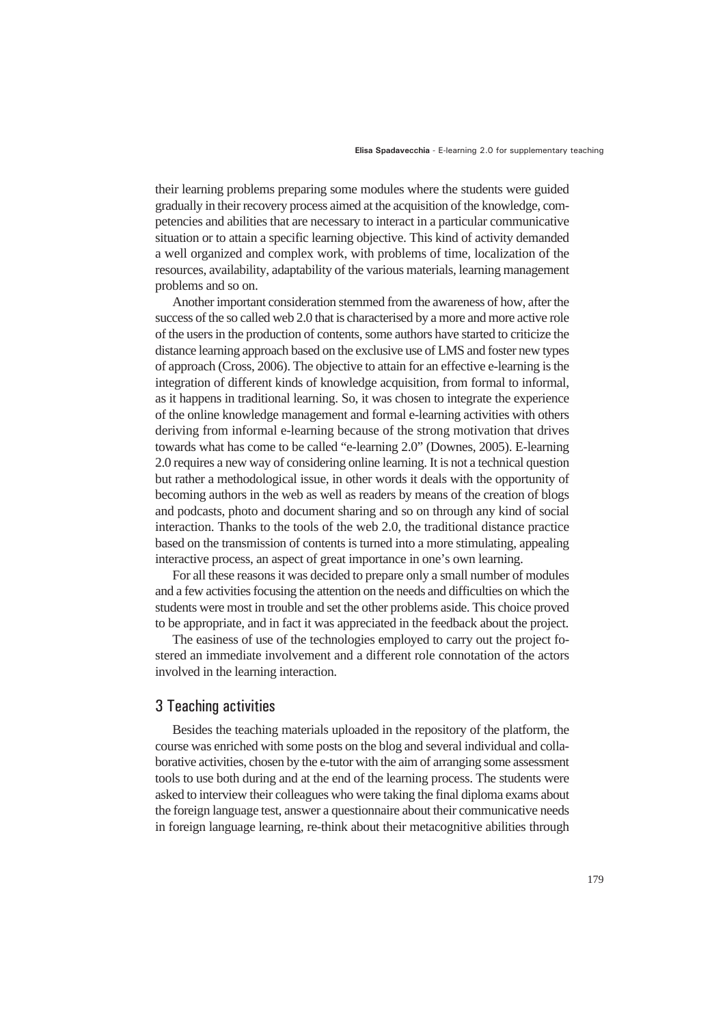their learning problems preparing some modules where the students were guided gradually in their recovery process aimed at the acquisition of the knowledge, competencies and abilities that are necessary to interact in a particular communicative situation or to attain a specific learning objective. This kind of activity demanded a well organized and complex work, with problems of time, localization of the resources, availability, adaptability of the various materials, learning management problems and so on.

Another important consideration stemmed from the awareness of how, after the success of the so called web 2.0 that is characterised by a more and more active role of the users in the production of contents, some authors have started to criticize the distance learning approach based on the exclusive use of LMS and foster new types of approach (Cross, 2006). The objective to attain for an effective e-learning is the integration of different kinds of knowledge acquisition, from formal to informal, as it happens in traditional learning. So, it was chosen to integrate the experience of the online knowledge management and formal e-learning activities with others deriving from informal e-learning because of the strong motivation that drives towards what has come to be called "e-learning 2.0" (Downes, 2005). E-learning 2.0 requires a new way of considering online learning. It is not a technical question but rather a methodological issue, in other words it deals with the opportunity of becoming authors in the web as well as readers by means of the creation of blogs and podcasts, photo and document sharing and so on through any kind of social interaction. Thanks to the tools of the web 2.0, the traditional distance practice based on the transmission of contents is turned into a more stimulating, appealing interactive process, an aspect of great importance in one's own learning.

For all these reasons it was decided to prepare only a small number of modules and a few activities focusing the attention on the needs and difficulties on which the students were most in trouble and set the other problems aside. This choice proved to be appropriate, and in fact it was appreciated in the feedback about the project.

The easiness of use of the technologies employed to carry out the project fostered an immediate involvement and a different role connotation of the actors involved in the learning interaction.

### 3 Teaching activities

Besides the teaching materials uploaded in the repository of the platform, the course was enriched with some posts on the blog and several individual and collaborative activities, chosen by the e-tutor with the aim of arranging some assessment tools to use both during and at the end of the learning process. The students were asked to interview their colleagues who were taking the final diploma exams about the foreign language test, answer a questionnaire about their communicative needs in foreign language learning, re-think about their metacognitive abilities through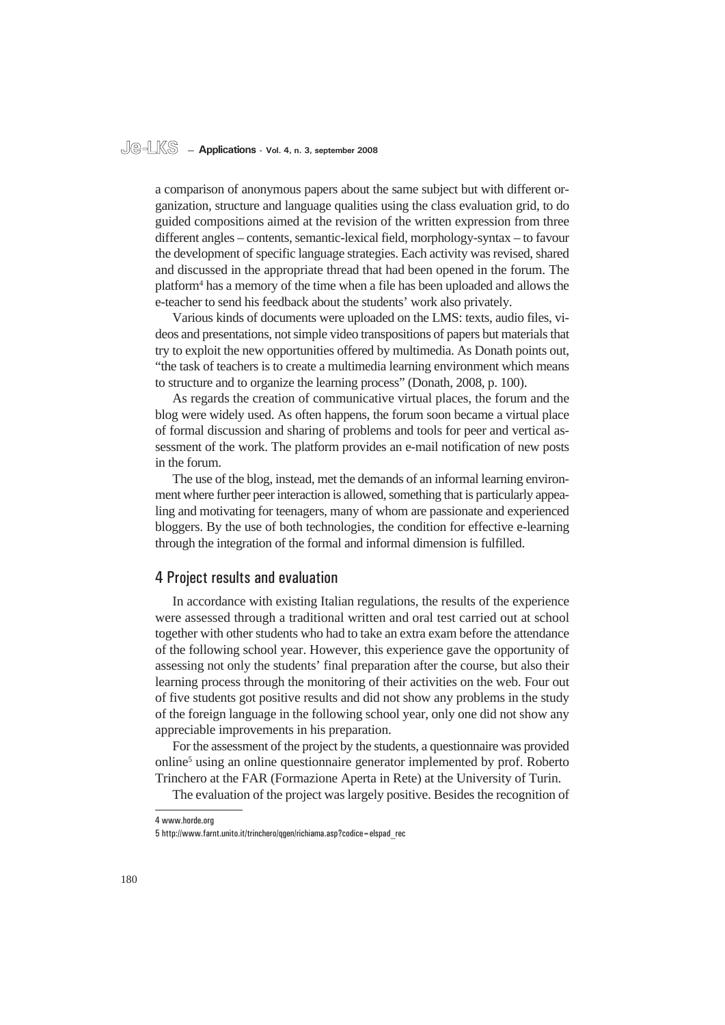#### **Je-LKS — Applications - Vol. 4, n. 3, september 2008**

a comparison of anonymous papers about the same subject but with different organization, structure and language qualities using the class evaluation grid, to do guided compositions aimed at the revision of the written expression from three different angles – contents, semantic-lexical field, morphology-syntax – to favour the development of specific language strategies. Each activity was revised, shared and discussed in the appropriate thread that had been opened in the forum. The platform4 has a memory of the time when a file has been uploaded and allows the e-teacher to send his feedback about the students' work also privately.

Various kinds of documents were uploaded on the LMS: texts, audio files, videos and presentations, not simple video transpositions of papers but materials that try to exploit the new opportunities offered by multimedia. As Donath points out, "the task of teachers is to create a multimedia learning environment which means to structure and to organize the learning process" (Donath, 2008, p. 100).

As regards the creation of communicative virtual places, the forum and the blog were widely used. As often happens, the forum soon became a virtual place of formal discussion and sharing of problems and tools for peer and vertical assessment of the work. The platform provides an e-mail notification of new posts in the forum.

The use of the blog, instead, met the demands of an informal learning environment where further peer interaction is allowed, something that is particularly appealing and motivating for teenagers, many of whom are passionate and experienced bloggers. By the use of both technologies, the condition for effective e-learning through the integration of the formal and informal dimension is fulfilled.

### 4 Project results and evaluation

In accordance with existing Italian regulations, the results of the experience were assessed through a traditional written and oral test carried out at school together with other students who had to take an extra exam before the attendance of the following school year. However, this experience gave the opportunity of assessing not only the students' final preparation after the course, but also their learning process through the monitoring of their activities on the web. Four out of five students got positive results and did not show any problems in the study of the foreign language in the following school year, only one did not show any appreciable improvements in his preparation.

For the assessment of the project by the students, a questionnaire was provided online<sup>5</sup> using an online questionnaire generator implemented by prof. Roberto Trinchero at the FAR (Formazione Aperta in Rete) at the University of Turin.

The evaluation of the project was largely positive. Besides the recognition of

<sup>4</sup> www.horde.org

<sup>5</sup> http://www.farnt.unito.it/trinchero/qgen/richiama.asp?codice=elspad\_rec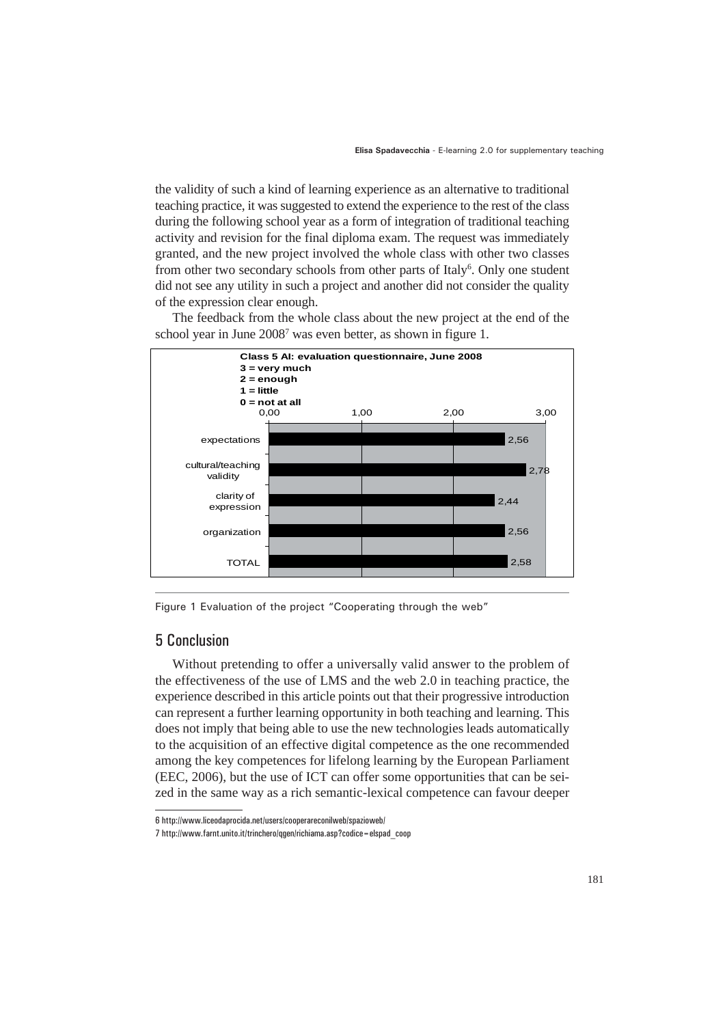the validity of such a kind of learning experience as an alternative to traditional teaching practice, it was suggested to extend the experience to the rest of the class during the following school year as a form of integration of traditional teaching activity and revision for the final diploma exam. The request was immediately granted, and the new project involved the whole class with other two classes from other two secondary schools from other parts of Italy<sup>6</sup>. Only one student did not see any utility in such a project and another did not consider the quality of the expression clear enough.



The feedback from the whole class about the new project at the end of the school year in June 2008<sup>7</sup> was even better, as shown in figure 1.

Figure 1 Evaluation of the project "Cooperating through the web"

### 5 Conclusion

Without pretending to offer a universally valid answer to the problem of the effectiveness of the use of LMS and the web 2.0 in teaching practice, the experience described in this article points out that their progressive introduction can represent a further learning opportunity in both teaching and learning. This does not imply that being able to use the new technologies leads automatically to the acquisition of an effective digital competence as the one recommended among the key competences for lifelong learning by the European Parliament (EEC, 2006), but the use of ICT can offer some opportunities that can be seized in the same way as a rich semantic-lexical competence can favour deeper

<sup>6</sup> http://www.liceodaprocida.net/users/cooperareconilweb/spazioweb/

<sup>7</sup> http://www.farnt.unito.it/trinchero/qgen/richiama.asp?codice=elspad\_coop